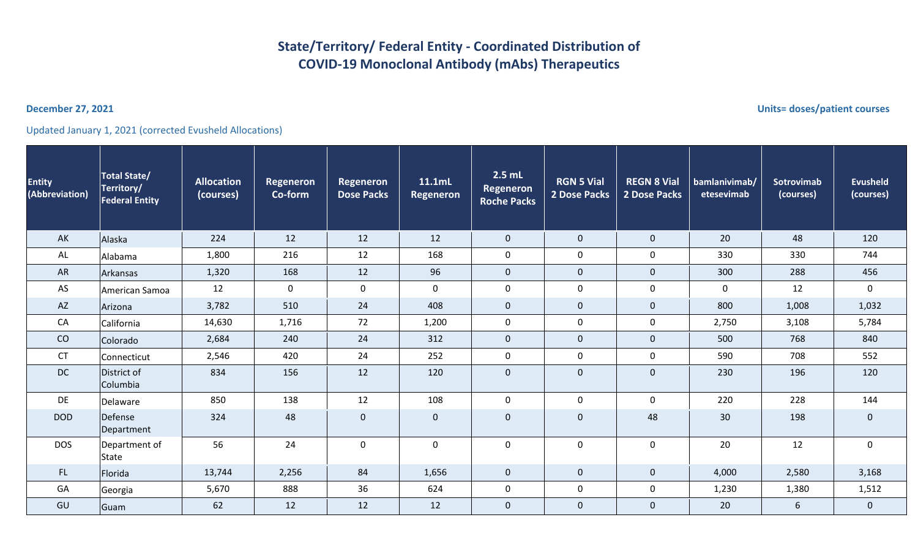## **State/Territory/ Federal Entity - Coordinated Distribution of COVID-19 Monoclonal Antibody (mAbs) Therapeutics**

Updated January 1, 2021 (corrected Evusheld Allocations)

| <b>Entity</b><br>(Abbreviation) | <b>Total State/</b><br>Territory/<br><b>Federal Entity</b> | <b>Allocation</b><br>(courses) | <b>Regeneron</b><br>Co-form | <b>Regeneron</b><br><b>Dose Packs</b> | 11.1mL<br><b>Regeneron</b> | $2.5$ mL<br><b>Regeneron</b><br><b>Roche Packs</b> | <b>RGN 5 Vial</b><br>2 Dose Packs | <b>REGN 8 Vial</b><br>2 Dose Packs | bamlanivimab/<br>etesevimab | <b>Sotrovimab</b><br>(courses) | <b>Evusheld</b><br>(courses) |
|---------------------------------|------------------------------------------------------------|--------------------------------|-----------------------------|---------------------------------------|----------------------------|----------------------------------------------------|-----------------------------------|------------------------------------|-----------------------------|--------------------------------|------------------------------|
| AK                              | Alaska                                                     | 224                            | 12                          | 12                                    | 12                         | $\mathbf{0}$                                       | $\mathbf 0$                       | $\mathbf 0$                        | 20                          | 48                             | 120                          |
| AL                              | Alabama                                                    | 1,800                          | 216                         | 12                                    | 168                        | $\mathbf 0$                                        | $\mathsf{O}$                      | $\mathbf 0$                        | 330                         | 330                            | 744                          |
| AR                              | Arkansas                                                   | 1,320                          | 168                         | 12                                    | 96                         | $\mathbf{0}$                                       | $\mathbf 0$                       | $\mathbf 0$                        | 300                         | 288                            | 456                          |
| AS                              | American Samoa                                             | 12                             | $\mathbf 0$                 | $\mathbf 0$                           | 0                          | $\mathbf 0$                                        | $\mathsf{O}$                      | 0                                  | $\mathbf 0$                 | 12                             | $\mathbf 0$                  |
| <b>AZ</b>                       | Arizona                                                    | 3,782                          | 510                         | 24                                    | 408                        | $\mathbf{0}$                                       | $\mathbf{0}$                      | $\mathbf{0}$                       | 800                         | 1,008                          | 1,032                        |
| CA                              | California                                                 | 14,630                         | 1,716                       | 72                                    | 1,200                      | $\mathsf{O}$                                       | $\mathsf{O}$                      | $\mathsf{O}$                       | 2,750                       | 3,108                          | 5,784                        |
| CO                              | Colorado                                                   | 2,684                          | 240                         | 24                                    | 312                        | $\mathbf{0}$                                       | $\mathsf{O}\xspace$               | $\overline{0}$                     | 500                         | 768                            | 840                          |
| <b>CT</b>                       | Connecticut                                                | 2,546                          | 420                         | 24                                    | 252                        | $\mathbf 0$                                        | $\mathbf 0$                       | 0                                  | 590                         | 708                            | 552                          |
| <b>DC</b>                       | District of<br>Columbia                                    | 834                            | 156                         | 12                                    | 120                        | $\mathbf 0$                                        | $\mathsf{O}\xspace$               | 0                                  | 230                         | 196                            | 120                          |
| DE                              | Delaware                                                   | 850                            | 138                         | 12                                    | 108                        | $\mathsf{O}$                                       | $\mathsf{O}\phantom{0}$           | $\mathsf{O}$                       | 220                         | 228                            | 144                          |
| <b>DOD</b>                      | Defense<br>Department                                      | 324                            | 48                          | $\mathbf 0$                           | $\overline{0}$             | $\mathbf 0$                                        | $\mathsf{O}\xspace$               | 48                                 | 30                          | 198                            | $\overline{0}$               |
| <b>DOS</b>                      | Department of<br>State                                     | 56                             | 24                          | $\mathbf 0$                           | 0                          | $\mathbf 0$                                        | $\mathsf{O}$                      | $\mathbf 0$                        | 20                          | 12                             | $\mathsf{O}$                 |
| FL.                             | Florida                                                    | 13,744                         | 2,256                       | 84                                    | 1,656                      | $\mathbf{0}$                                       | $\mathbf{0}$                      | $\mathbf 0$                        | 4,000                       | 2,580                          | 3,168                        |
| GA                              | Georgia                                                    | 5,670                          | 888                         | 36                                    | 624                        | $\mathsf{O}$                                       | $\mathsf{O}$                      | $\mathbf 0$                        | 1,230                       | 1,380                          | 1,512                        |
| GU                              | Guam                                                       | 62                             | 12                          | 12                                    | 12                         | $\mathbf 0$                                        | $\mathbf 0$                       | 0                                  | 20                          | 6                              | $\mathbf 0$                  |

**December 27, 2021 Units= doses/patient courses**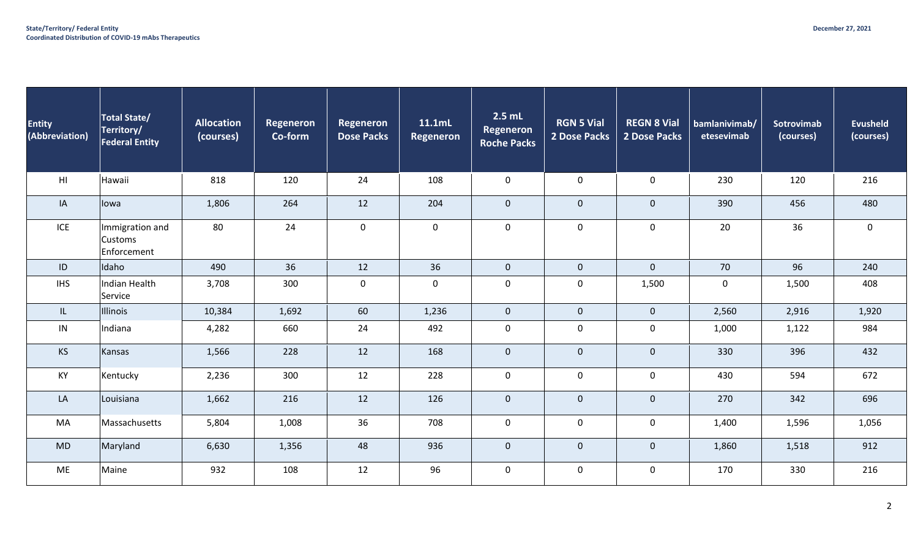| <b>Entity</b><br>(Abbreviation) | <b>Total State/</b><br>Territory/<br><b>Federal Entity</b> | <b>Allocation</b><br>(courses) | Regeneron<br>Co-form | <b>Regeneron</b><br><b>Dose Packs</b> | 11.1mL<br><b>Regeneron</b> | $2.5$ mL<br><b>Regeneron</b><br><b>Roche Packs</b> | <b>RGN 5 Vial</b><br>2 Dose Packs | <b>REGN 8 Vial</b><br>2 Dose Packs | bamlanivimab/<br>etesevimab | Sotrovimab<br>(courses) | <b>Evusheld</b><br>(courses) |
|---------------------------------|------------------------------------------------------------|--------------------------------|----------------------|---------------------------------------|----------------------------|----------------------------------------------------|-----------------------------------|------------------------------------|-----------------------------|-------------------------|------------------------------|
| H1                              | Hawaii                                                     | 818                            | 120                  | 24                                    | 108                        | $\mathsf{O}$                                       | $\mathbf 0$                       | $\mathbf 0$                        | 230                         | 120                     | 216                          |
| IA                              | lowa                                                       | 1,806                          | 264                  | 12                                    | 204                        | $\mathbf{0}$                                       | $\mathbf 0$                       | $\pmb{0}$                          | 390                         | 456                     | 480                          |
| ICE                             | Immigration and<br><b>Customs</b><br>Enforcement           | 80                             | 24                   | $\mathbf 0$                           | $\mathbf 0$                | $\mathbf 0$                                        | $\mathsf{O}$                      | 0                                  | 20                          | 36                      | $\mathbf 0$                  |
| ID                              | Idaho                                                      | 490                            | 36                   | 12                                    | 36                         | $\mathbf 0$                                        | $\overline{0}$                    | $\mathbf 0$                        | 70                          | 96                      | 240                          |
| <b>IHS</b>                      | Indian Health<br>Service                                   | 3,708                          | 300                  | $\mathsf 0$                           | $\mathbf 0$                | $\mathsf{O}$                                       | $\mathsf{O}\xspace$               | 1,500                              | $\mathbf 0$                 | 1,500                   | 408                          |
| IL.                             | <b>Illinois</b>                                            | 10,384                         | 1,692                | 60                                    | 1,236                      | $\overline{0}$                                     | $\mathbf{0}$                      | $\pmb{0}$                          | 2,560                       | 2,916                   | 1,920                        |
| IN                              | Indiana                                                    | 4,282                          | 660                  | 24                                    | 492                        | $\mathsf{O}$                                       | $\mathsf 0$                       | 0                                  | 1,000                       | 1,122                   | 984                          |
| <b>KS</b>                       | Kansas                                                     | 1,566                          | 228                  | 12                                    | 168                        | $\mathbf{0}$                                       | $\overline{0}$                    | $\mathbf 0$                        | 330                         | 396                     | 432                          |
| KY                              | Kentucky                                                   | 2,236                          | 300                  | 12                                    | 228                        | $\mathbf 0$                                        | $\mathbf 0$                       | $\mathbf 0$                        | 430                         | 594                     | 672                          |
| LA                              | Louisiana                                                  | 1,662                          | 216                  | 12                                    | 126                        | $\overline{0}$                                     | $\pmb{0}$                         | $\mathbf 0$                        | 270                         | 342                     | 696                          |
| MA                              | Massachusetts                                              | 5,804                          | 1,008                | 36                                    | 708                        | $\mathbf 0$                                        | $\mathsf{O}\xspace$               | $\mathbf 0$                        | 1,400                       | 1,596                   | 1,056                        |
| <b>MD</b>                       | Maryland                                                   | 6,630                          | 1,356                | 48                                    | 936                        | $\mathbf 0$                                        | $\mathbf 0$                       | $\mathbf 0$                        | 1,860                       | 1,518                   | 912                          |
| <b>ME</b>                       | Maine                                                      | 932                            | 108                  | 12                                    | 96                         | $\mathsf{O}$                                       | $\mathsf 0$                       | 0                                  | 170                         | 330                     | 216                          |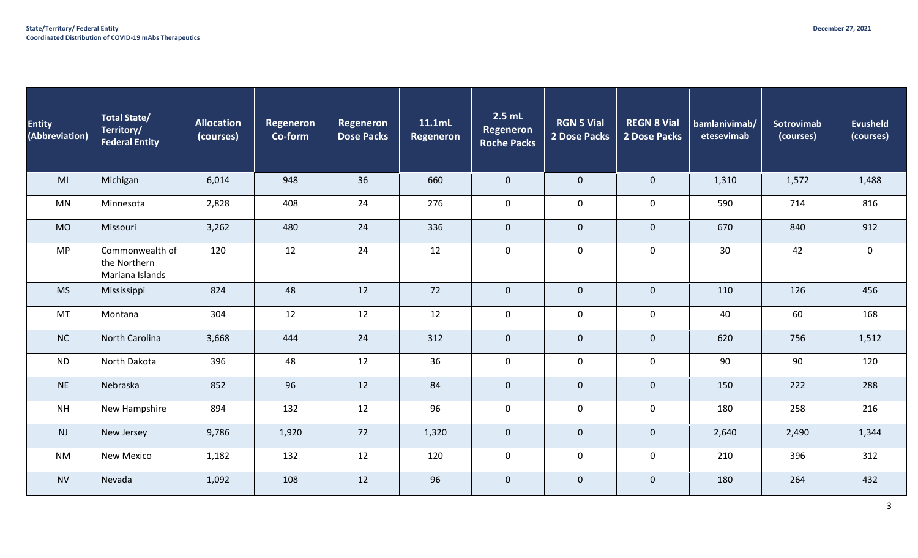| <b>Entity</b><br>(Abbreviation) | <b>Total State/</b><br>Territory/<br><b>Federal Entity</b> | <b>Allocation</b><br>(courses) | <b>Regeneron</b><br>Co-form | Regeneron<br><b>Dose Packs</b> | 11.1mL<br><b>Regeneron</b> | $2.5$ mL<br><b>Regeneron</b><br><b>Roche Packs</b> | <b>RGN 5 Vial</b><br>2 Dose Packs | <b>REGN 8 Vial</b><br>2 Dose Packs | bamlanivimab/<br>etesevimab | Sotrovimab<br>(courses) | <b>Evusheld</b><br>(courses) |
|---------------------------------|------------------------------------------------------------|--------------------------------|-----------------------------|--------------------------------|----------------------------|----------------------------------------------------|-----------------------------------|------------------------------------|-----------------------------|-------------------------|------------------------------|
| MI                              | Michigan                                                   | 6,014                          | 948                         | 36                             | 660                        | $\mathbf 0$                                        | $\mathbf 0$                       | $\pmb{0}$                          | 1,310                       | 1,572                   | 1,488                        |
| <b>MN</b>                       | Minnesota                                                  | 2,828                          | 408                         | 24                             | 276                        | $\mathsf{O}$                                       | $\mathbf 0$                       | $\mathsf 0$                        | 590                         | 714                     | 816                          |
| <b>MO</b>                       | Missouri                                                   | 3,262                          | 480                         | 24                             | 336                        | $\mathbf 0$                                        | $\mathbf 0$                       | $\mathbf 0$                        | 670                         | 840                     | 912                          |
| <b>MP</b>                       | Commonwealth of<br>the Northern<br>Mariana Islands         | 120                            | 12                          | 24                             | 12                         | $\mathbf 0$                                        | $\mathbf 0$                       | $\mathsf{O}\xspace$                | 30                          | 42                      | $\mathbf 0$                  |
| <b>MS</b>                       | Mississippi                                                | 824                            | 48                          | 12                             | 72                         | $\mathbf 0$                                        | $\mathbf 0$                       | $\pmb{0}$                          | 110                         | 126                     | 456                          |
| MT                              | Montana                                                    | 304                            | 12                          | 12                             | 12                         | $\mathbf 0$                                        | $\mathbf 0$                       | $\mathsf 0$                        | 40                          | 60                      | 168                          |
| NC                              | North Carolina                                             | 3,668                          | 444                         | 24                             | 312                        | $\mathbf 0$                                        | $\mathbf 0$                       | $\pmb{0}$                          | 620                         | 756                     | 1,512                        |
| <b>ND</b>                       | North Dakota                                               | 396                            | 48                          | 12                             | 36                         | $\mathsf{O}$                                       | $\mathsf{O}$                      | $\mathsf 0$                        | 90                          | 90                      | 120                          |
| <b>NE</b>                       | Nebraska                                                   | 852                            | 96                          | 12                             | 84                         | $\mathbf 0$                                        | $\mathbf 0$                       | $\pmb{0}$                          | 150                         | 222                     | 288                          |
| <b>NH</b>                       | New Hampshire                                              | 894                            | 132                         | 12                             | 96                         | $\mathbf 0$                                        | $\mathsf{O}\xspace$               | $\mathsf{O}\xspace$                | 180                         | 258                     | 216                          |
| <b>NJ</b>                       | New Jersey                                                 | 9,786                          | 1,920                       | 72                             | 1,320                      | $\mathbf 0$                                        | $\mathbf 0$                       | $\pmb{0}$                          | 2,640                       | 2,490                   | 1,344                        |
| <b>NM</b>                       | <b>New Mexico</b>                                          | 1,182                          | 132                         | 12                             | 120                        | $\mathsf{O}$                                       | $\mathbf 0$                       | $\mathsf{O}\xspace$                | 210                         | 396                     | 312                          |
| <b>NV</b>                       | Nevada                                                     | 1,092                          | 108                         | 12                             | 96                         | $\mathbf 0$                                        | $\mathbf 0$                       | $\pmb{0}$                          | 180                         | 264                     | 432                          |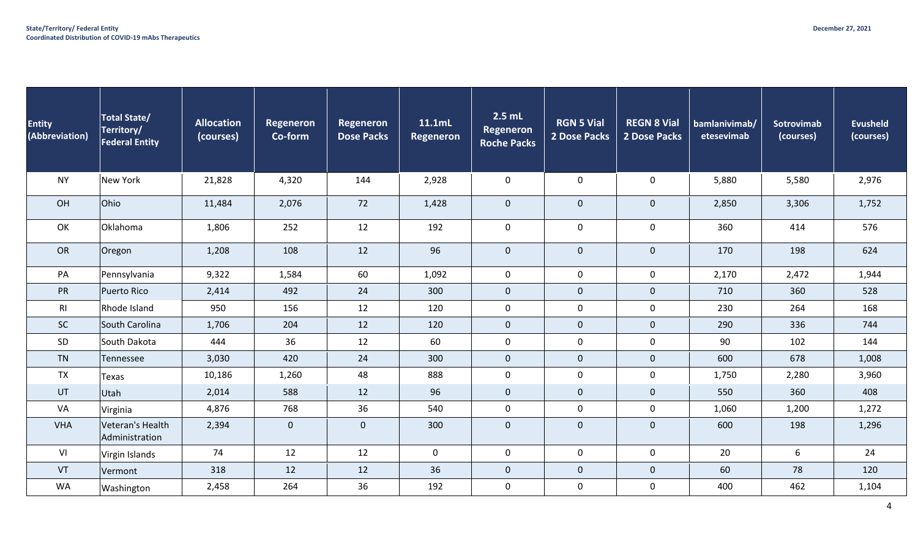| <b>Entity</b><br>(Abbreviation) | Total State/<br>Territory/<br><b>Federal Entity</b> | <b>Allocation</b><br>(courses) | Regeneron<br>Co-form | Regeneron<br><b>Dose Packs</b> | 11.1mL<br>Regeneron | $2.5$ mL<br>Regeneron<br><b>Roche Packs</b> | <b>RGN 5 Vial</b><br>2 Dose Packs | <b>REGN 8 Vial</b><br>2 Dose Packs | bamlanivimab/<br>etesevimab | <b>Sotrovimab</b><br>(courses) | <b>Evusheld</b><br>(courses) |
|---------------------------------|-----------------------------------------------------|--------------------------------|----------------------|--------------------------------|---------------------|---------------------------------------------|-----------------------------------|------------------------------------|-----------------------------|--------------------------------|------------------------------|
| <b>NY</b>                       | New York                                            | 21,828                         | 4,320                | 144                            | 2,928               | $\mathbf 0$                                 | $\mathsf{O}\xspace$               | $\pmb{0}$                          | 5,880                       | 5,580                          | 2,976                        |
| OH                              | Ohio                                                | 11,484                         | 2,076                | 72                             | 1,428               | $\mathbf 0$                                 | $\mathbf 0$                       | $\mathsf{O}\xspace$                | 2,850                       | 3,306                          | 1,752                        |
| OK                              | Oklahoma                                            | 1,806                          | 252                  | 12                             | 192                 | $\mathsf{O}$                                | $\mathbf 0$                       | $\mathbf 0$                        | 360                         | 414                            | 576                          |
| <b>OR</b>                       | Oregon                                              | 1,208                          | 108                  | 12                             | 96                  | $\mathbf 0$                                 | $\mathbf{0}$                      | $\pmb{0}$                          | 170                         | 198                            | 624                          |
| PA                              | Pennsylvania                                        | 9,322                          | 1,584                | 60                             | 1,092               | $\mathbf 0$                                 | $\mathbf 0$                       | $\mathbf 0$                        | 2,170                       | 2,472                          | 1,944                        |
| PR                              | Puerto Rico                                         | 2,414                          | 492                  | 24                             | 300                 | $\mathbf 0$                                 | $\pmb{0}$                         | $\pmb{0}$                          | 710                         | 360                            | 528                          |
| R <sub>l</sub>                  | Rhode Island                                        | 950                            | 156                  | 12                             | 120                 | $\mathsf{O}$                                | $\pmb{0}$                         | $\pmb{0}$                          | 230                         | 264                            | 168                          |
| <b>SC</b>                       | South Carolina                                      | 1,706                          | 204                  | 12                             | 120                 | $\mathbf 0$                                 | $\pmb{0}$                         | $\mathsf{O}\xspace$                | 290                         | 336                            | 744                          |
| SD                              | South Dakota                                        | 444                            | 36                   | 12                             | 60                  | $\mathsf{O}$                                | $\pmb{0}$                         | $\pmb{0}$                          | 90                          | 102                            | 144                          |
| <b>TN</b>                       | Tennessee                                           | 3,030                          | 420                  | 24                             | 300                 | $\mathbf 0$                                 | $\pmb{0}$                         | $\mathsf{O}\xspace$                | 600                         | 678                            | 1,008                        |
| <b>TX</b>                       | Texas                                               | 10,186                         | 1,260                | 48                             | 888                 | $\mathsf{O}$                                | 0                                 | $\mathbf 0$                        | 1,750                       | 2,280                          | 3,960                        |
| UT                              | Utah                                                | 2,014                          | 588                  | 12                             | 96                  | $\mathbf 0$                                 | $\mathbf{0}$                      | $\mathsf{O}\xspace$                | 550                         | 360                            | 408                          |
| VA                              | Virginia                                            | 4,876                          | 768                  | 36                             | 540                 | $\mathsf{O}$                                | $\mathsf{O}\xspace$               | $\pmb{0}$                          | 1,060                       | 1,200                          | 1,272                        |
| <b>VHA</b>                      | Veteran's Health<br>Administration                  | 2,394                          | $\mathbf 0$          | $\mathbf{0}$                   | 300                 | $\mathbf 0$                                 | $\pmb{0}$                         | $\mathsf{O}\xspace$                | 600                         | 198                            | 1,296                        |
| VI                              | Virgin Islands                                      | 74                             | 12                   | 12                             | $\mathbf 0$         | $\mathbf 0$                                 | $\mathbf 0$                       | $\mathbf 0$                        | 20                          | 6                              | 24                           |
| VT                              | Vermont                                             | 318                            | 12                   | 12                             | 36                  | $\mathbf 0$                                 | $\pmb{0}$                         | $\mathsf{O}\xspace$                | 60                          | 78                             | 120                          |
| WA                              | Washington                                          | 2,458                          | 264                  | 36                             | 192                 | $\mathsf{O}$                                | $\mathsf{O}\xspace$               | $\pmb{0}$                          | 400                         | 462                            | 1,104                        |